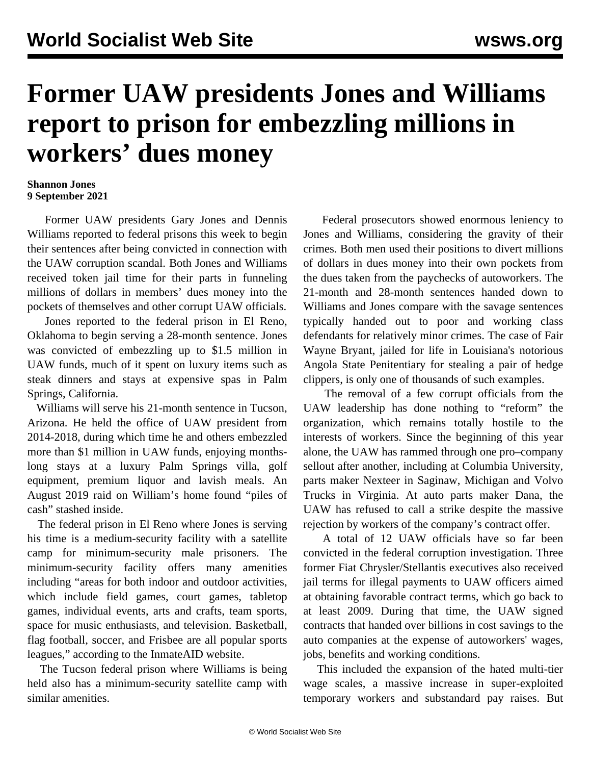## **Former UAW presidents Jones and Williams report to prison for embezzling millions in workers' dues money**

## **Shannon Jones 9 September 2021**

 Former UAW presidents Gary Jones and Dennis Williams reported to federal prisons this week to begin their sentences after being convicted in connection with the UAW corruption scandal. Both Jones and Williams received token jail time for their parts in funneling millions of dollars in members' dues money into the pockets of themselves and other corrupt UAW officials.

 Jones reported to the federal prison in El Reno, Oklahoma to begin serving a 28-month sentence. Jones was convicted of embezzling up to \$1.5 million in UAW funds, much of it spent on luxury items such as steak dinners and stays at expensive spas in Palm Springs, California.

 Williams will serve his 21-month sentence in Tucson, Arizona. He held the office of UAW president from 2014-2018, during which time he and others embezzled more than \$1 million in UAW funds, enjoying monthslong stays at a luxury Palm Springs villa, golf equipment, premium liquor and lavish meals. An August 2019 raid on William's home found "piles of cash" stashed inside.

 The federal prison in El Reno where Jones is serving his time is a medium-security facility with a satellite camp for minimum-security male prisoners. The minimum-security facility offers many amenities including "areas for both indoor and outdoor activities, which include field games, court games, tabletop games, individual events, arts and crafts, team sports, space for music enthusiasts, and television. Basketball, flag football, soccer, and Frisbee are all popular sports leagues," according to the InmateAID website.

 The Tucson federal prison where Williams is being held also has a minimum-security satellite camp with similar amenities.

 Federal prosecutors showed enormous leniency to Jones and Williams, considering the gravity of their crimes. Both men used their positions to divert millions of dollars in dues money into their own pockets from the dues taken from the paychecks of autoworkers. The 21-month and 28-month sentences handed down to Williams and Jones compare with the savage sentences typically handed out to poor and working class defendants for relatively minor crimes. The case of [Fair](/en/articles/2020/10/21/bryan-o21.html) [Wayne Bryant,](/en/articles/2020/10/21/bryan-o21.html) jailed for life in Louisiana's notorious Angola State Penitentiary for stealing a pair of hedge clippers, is only one of thousands of such examples.

 The removal of a few corrupt officials from the UAW leadership has done nothing to "reform" the organization, which remains totally hostile to the interests of workers. Since the beginning of this year alone, the UAW has rammed through one pro–company sellout after another, including at [Columbia University,](/en/topics/event/2021-columbia-university-graduate-student-strike) parts maker [Nexteer](/en/articles/2021/05/24/next-m24.html) in Saginaw, Michigan and [Volvo](/en/topics/workersCategory/2021-volvo-workers-strike-virginia) [Trucks](/en/topics/workersCategory/2021-volvo-workers-strike-virginia) in Virginia. At [auto parts maker Dana](/en/topics/workersCategory/dana-autoworkers-contract-struggle-2021), the UAW has refused to call a strike despite the massive rejection by workers of the company's contract offer.

 A total of 12 UAW officials have so far been convicted in the federal corruption investigation. Three former Fiat Chrysler/Stellantis executives also received jail terms for illegal payments to UAW officers aimed at obtaining favorable contract terms, which go back to at least 2009. During that time, the UAW signed contracts that handed over billions in cost savings to the auto companies at the expense of autoworkers' wages, jobs, benefits and working conditions.

 This included the expansion of the hated multi-tier wage scales, a massive increase in super-exploited temporary workers and substandard pay raises. But